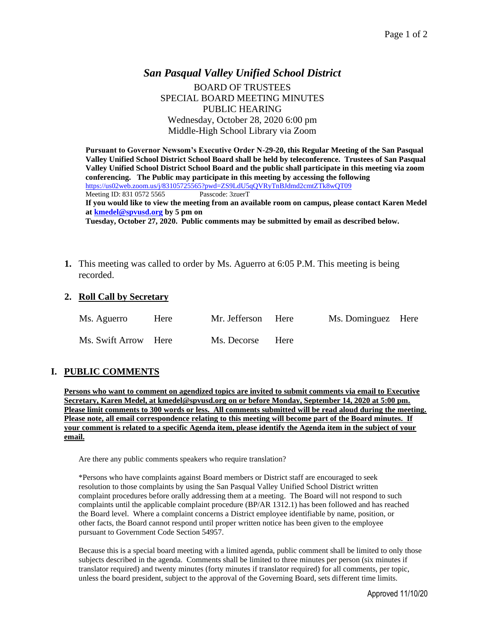# *San Pasqual Valley Unified School District* BOARD OF TRUSTEES SPECIAL BOARD MEETING MINUTES PUBLIC HEARING Wednesday, October 28, 2020 6:00 pm Middle-High School Library via Zoom

**Pursuant to Governor Newsom's Executive Order N-29-20, this Regular Meeting of the San Pasqual Valley Unified School District School Board shall be held by teleconference. Trustees of San Pasqual Valley Unified School District School Board and the public shall participate in this meeting via zoom conferencing. The Public may participate in this meeting by accessing the following**  <https://us02web.zoom.us/j/83105725565?pwd=ZS9LdU5qQVRyTnBJdmd2cmtZTk8wQT09> Meeting ID: 831 0572 5565 Passcode: 3zuerT **If you would like to view the meeting from an available room on campus, please contact Karen Medel at [kmedel@spvusd.org](mailto:kmedel@spvusd.org) by 5 pm on Tuesday, October 27, 2020. Public comments may be submitted by email as described below.** 

**1.** This meeting was called to order by Ms. Aguerro at 6:05 P.M. This meeting is being recorded.

#### **2. Roll Call by Secretary**

| Ms. Aguerro          | Here | Mr. Jefferson Here |      | Ms. Dominguez Here |  |
|----------------------|------|--------------------|------|--------------------|--|
| Ms. Swift Arrow Here |      | Ms. Decorse        | Here |                    |  |

## **I. PUBLIC COMMENTS**

**Persons who want to comment on agendized topics are invited to submit comments via email to Executive Secretary, Karen Medel, at kmedel@spvusd.org on or before Monday, September 14, 2020 at 5:00 pm. Please limit comments to 300 words or less. All comments submitted will be read aloud during the meeting. Please note, all email correspondence relating to this meeting will become part of the Board minutes. If your comment is related to a specific Agenda item, please identify the Agenda item in the subject of your email.**

Are there any public comments speakers who require translation?

\*Persons who have complaints against Board members or District staff are encouraged to seek resolution to those complaints by using the San Pasqual Valley Unified School District written complaint procedures before orally addressing them at a meeting. The Board will not respond to such complaints until the applicable complaint procedure (BP/AR 1312.1) has been followed and has reached the Board level. Where a complaint concerns a District employee identifiable by name, position, or other facts, the Board cannot respond until proper written notice has been given to the employee pursuant to Government Code Section 54957.

Because this is a special board meeting with a limited agenda, public comment shall be limited to only those subjects described in the agenda. Comments shall be limited to three minutes per person (six minutes if translator required) and twenty minutes (forty minutes if translator required) for all comments, per topic, unless the board president, subject to the approval of the Governing Board, sets different time limits.